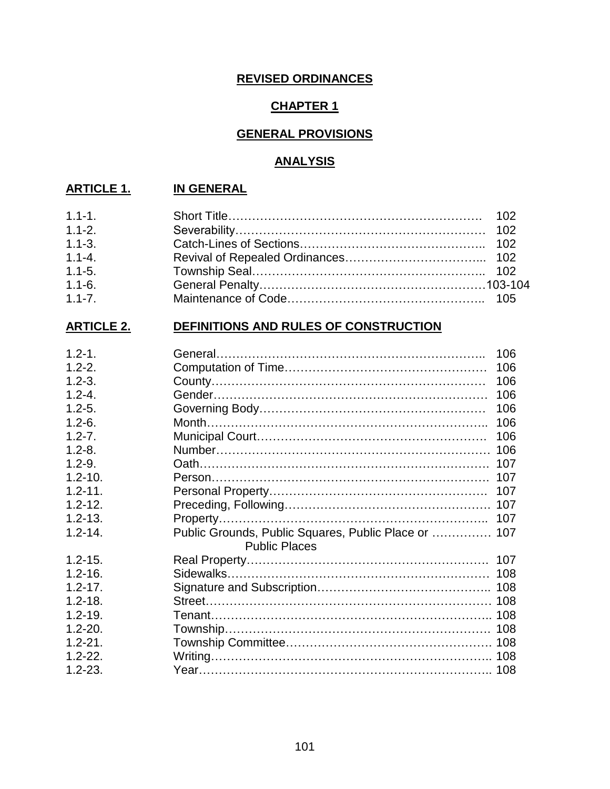## **REVISED ORDINANCES**

## **CHAPTER 1**

## **GENERAL PROVISIONS**

#### **ANALYSIS**

## **ARTICLE 1. IN GENERAL**

| $1.1 - 1.$ |  |
|------------|--|
| $1.1 - 2.$ |  |
| $1.1 - 3.$ |  |
| $1.1 - 4.$ |  |
| $1.1 - 5.$ |  |
| $1.1 - 6.$ |  |
| $1.1 - 7.$ |  |

# **ARTICLE 2. DEFINITIONS AND RULES OF CONSTRUCTION**

| $1.2 - 1.$  |                                                      | 106 |
|-------------|------------------------------------------------------|-----|
| $1.2 - 2.$  |                                                      | 106 |
| $1.2 - 3.$  |                                                      | 106 |
| $1.2 - 4.$  |                                                      | 106 |
| $1.2 - 5.$  |                                                      | 106 |
| $1.2 - 6.$  |                                                      | 106 |
| $1.2 - 7.$  |                                                      | 106 |
| $1.2 - 8.$  |                                                      |     |
| $1.2 - 9.$  |                                                      | 107 |
| $1.2 - 10.$ |                                                      | 107 |
| $1.2 - 11.$ |                                                      |     |
| $1.2 - 12.$ |                                                      |     |
| $1.2 - 13.$ |                                                      |     |
| $1.2 - 14.$ | Public Grounds, Public Squares, Public Place or  107 |     |
|             | <b>Public Places</b>                                 |     |
| $1.2 - 15.$ |                                                      |     |
| $1.2 - 16.$ |                                                      |     |
| $1.2 - 17.$ |                                                      |     |
| $1.2 - 18.$ |                                                      |     |
| $1.2 - 19.$ |                                                      |     |
| $1.2 - 20.$ |                                                      |     |
| $1.2 - 21.$ |                                                      |     |
| $1.2 - 22.$ |                                                      |     |
| $1.2 - 23.$ |                                                      |     |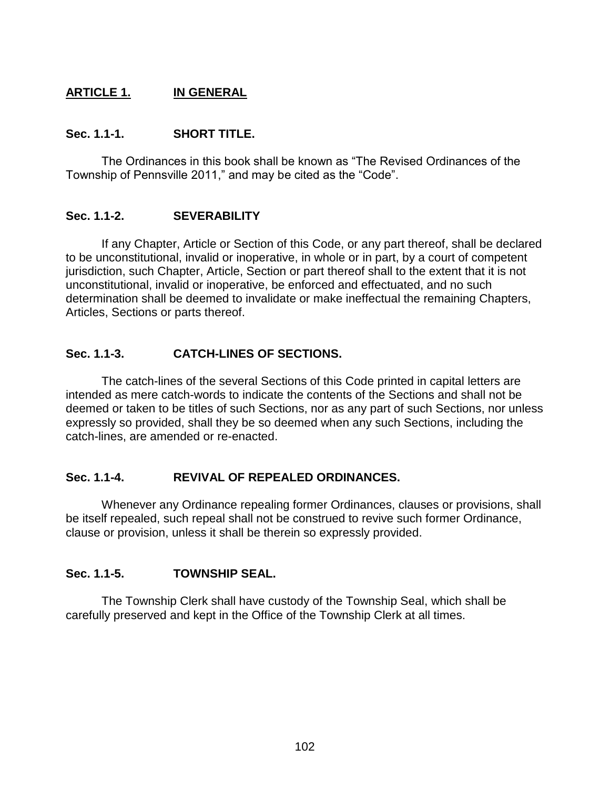## **ARTICLE 1. IN GENERAL**

#### **Sec. 1.1-1. SHORT TITLE.**

The Ordinances in this book shall be known as "The Revised Ordinances of the Township of Pennsville 2011," and may be cited as the "Code".

#### **Sec. 1.1-2. SEVERABILITY**

If any Chapter, Article or Section of this Code, or any part thereof, shall be declared to be unconstitutional, invalid or inoperative, in whole or in part, by a court of competent jurisdiction, such Chapter, Article, Section or part thereof shall to the extent that it is not unconstitutional, invalid or inoperative, be enforced and effectuated, and no such determination shall be deemed to invalidate or make ineffectual the remaining Chapters, Articles, Sections or parts thereof.

#### **Sec. 1.1-3. CATCH-LINES OF SECTIONS.**

The catch-lines of the several Sections of this Code printed in capital letters are intended as mere catch-words to indicate the contents of the Sections and shall not be deemed or taken to be titles of such Sections, nor as any part of such Sections, nor unless expressly so provided, shall they be so deemed when any such Sections, including the catch-lines, are amended or re-enacted.

#### **Sec. 1.1-4. REVIVAL OF REPEALED ORDINANCES.**

Whenever any Ordinance repealing former Ordinances, clauses or provisions, shall be itself repealed, such repeal shall not be construed to revive such former Ordinance, clause or provision, unless it shall be therein so expressly provided.

#### **Sec. 1.1-5. TOWNSHIP SEAL.**

The Township Clerk shall have custody of the Township Seal, which shall be carefully preserved and kept in the Office of the Township Clerk at all times.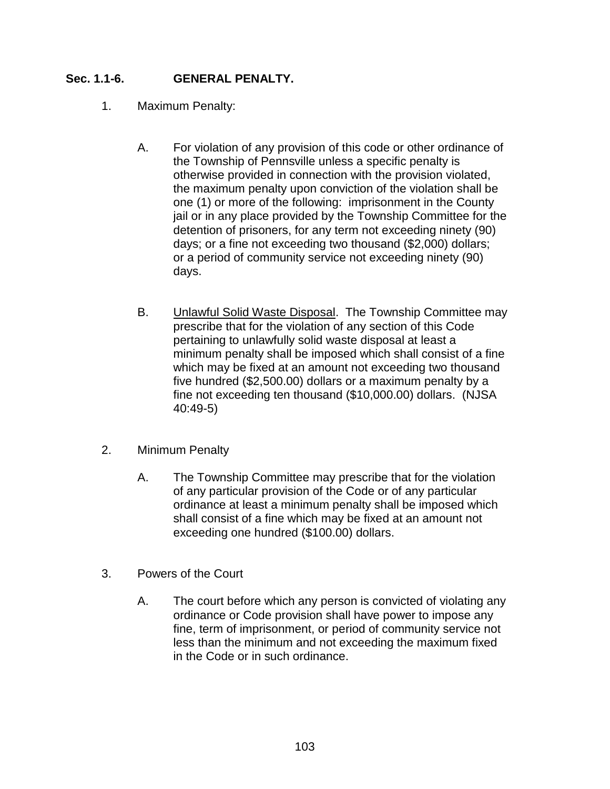## **Sec. 1.1-6. GENERAL PENALTY.**

- 1. Maximum Penalty:
	- A. For violation of any provision of this code or other ordinance of the Township of Pennsville unless a specific penalty is otherwise provided in connection with the provision violated, the maximum penalty upon conviction of the violation shall be one (1) or more of the following: imprisonment in the County jail or in any place provided by the Township Committee for the detention of prisoners, for any term not exceeding ninety (90) days; or a fine not exceeding two thousand (\$2,000) dollars; or a period of community service not exceeding ninety (90) days.
	- B. Unlawful Solid Waste Disposal. The Township Committee may prescribe that for the violation of any section of this Code pertaining to unlawfully solid waste disposal at least a minimum penalty shall be imposed which shall consist of a fine which may be fixed at an amount not exceeding two thousand five hundred (\$2,500.00) dollars or a maximum penalty by a fine not exceeding ten thousand (\$10,000.00) dollars. (NJSA 40:49-5)
- 2. Minimum Penalty
	- A. The Township Committee may prescribe that for the violation of any particular provision of the Code or of any particular ordinance at least a minimum penalty shall be imposed which shall consist of a fine which may be fixed at an amount not exceeding one hundred (\$100.00) dollars.
- 3. Powers of the Court
	- A. The court before which any person is convicted of violating any ordinance or Code provision shall have power to impose any fine, term of imprisonment, or period of community service not less than the minimum and not exceeding the maximum fixed in the Code or in such ordinance.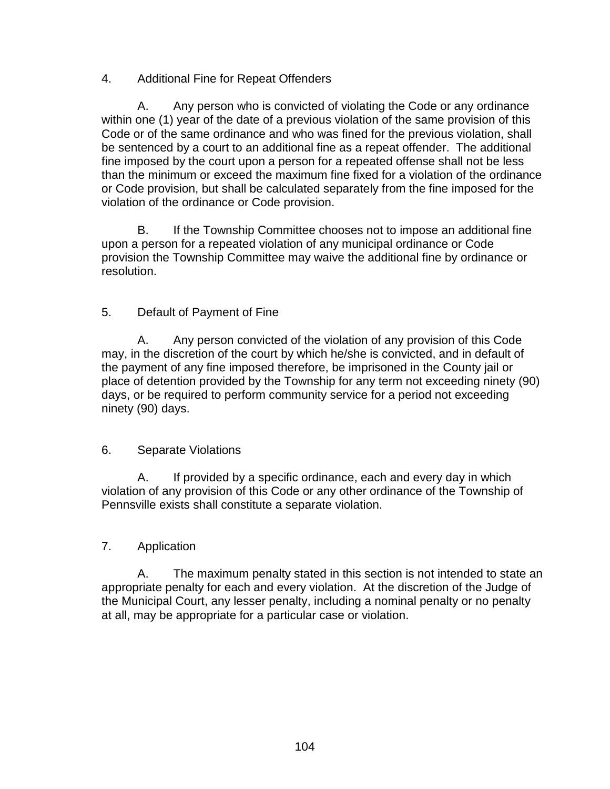## 4. Additional Fine for Repeat Offenders

A. Any person who is convicted of violating the Code or any ordinance within one (1) year of the date of a previous violation of the same provision of this Code or of the same ordinance and who was fined for the previous violation, shall be sentenced by a court to an additional fine as a repeat offender. The additional fine imposed by the court upon a person for a repeated offense shall not be less than the minimum or exceed the maximum fine fixed for a violation of the ordinance or Code provision, but shall be calculated separately from the fine imposed for the violation of the ordinance or Code provision.

B. If the Township Committee chooses not to impose an additional fine upon a person for a repeated violation of any municipal ordinance or Code provision the Township Committee may waive the additional fine by ordinance or resolution.

## 5. Default of Payment of Fine

A. Any person convicted of the violation of any provision of this Code may, in the discretion of the court by which he/she is convicted, and in default of the payment of any fine imposed therefore, be imprisoned in the County jail or place of detention provided by the Township for any term not exceeding ninety (90) days, or be required to perform community service for a period not exceeding ninety (90) days.

#### 6. Separate Violations

A. If provided by a specific ordinance, each and every day in which violation of any provision of this Code or any other ordinance of the Township of Pennsville exists shall constitute a separate violation.

#### 7. Application

A. The maximum penalty stated in this section is not intended to state an appropriate penalty for each and every violation. At the discretion of the Judge of the Municipal Court, any lesser penalty, including a nominal penalty or no penalty at all, may be appropriate for a particular case or violation.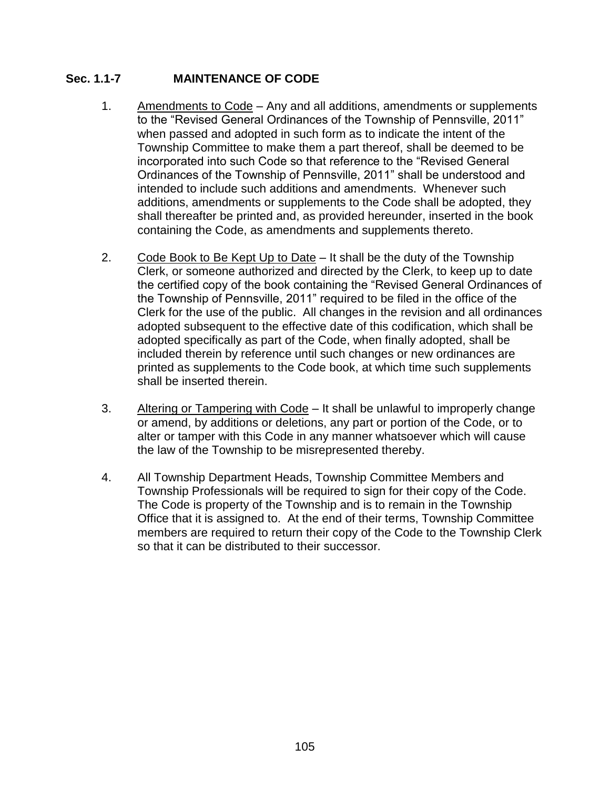## **Sec. 1.1-7 MAINTENANCE OF CODE**

- 1. Amendments to Code Any and all additions, amendments or supplements to the "Revised General Ordinances of the Township of Pennsville, 2011" when passed and adopted in such form as to indicate the intent of the Township Committee to make them a part thereof, shall be deemed to be incorporated into such Code so that reference to the "Revised General Ordinances of the Township of Pennsville, 2011" shall be understood and intended to include such additions and amendments. Whenever such additions, amendments or supplements to the Code shall be adopted, they shall thereafter be printed and, as provided hereunder, inserted in the book containing the Code, as amendments and supplements thereto.
- 2. Code Book to Be Kept Up to Date  $-$  It shall be the duty of the Township Clerk, or someone authorized and directed by the Clerk, to keep up to date the certified copy of the book containing the "Revised General Ordinances of the Township of Pennsville, 2011" required to be filed in the office of the Clerk for the use of the public. All changes in the revision and all ordinances adopted subsequent to the effective date of this codification, which shall be adopted specifically as part of the Code, when finally adopted, shall be included therein by reference until such changes or new ordinances are printed as supplements to the Code book, at which time such supplements shall be inserted therein.
- 3. Altering or Tampering with Code It shall be unlawful to improperly change or amend, by additions or deletions, any part or portion of the Code, or to alter or tamper with this Code in any manner whatsoever which will cause the law of the Township to be misrepresented thereby.
- 4. All Township Department Heads, Township Committee Members and Township Professionals will be required to sign for their copy of the Code. The Code is property of the Township and is to remain in the Township Office that it is assigned to. At the end of their terms, Township Committee members are required to return their copy of the Code to the Township Clerk so that it can be distributed to their successor.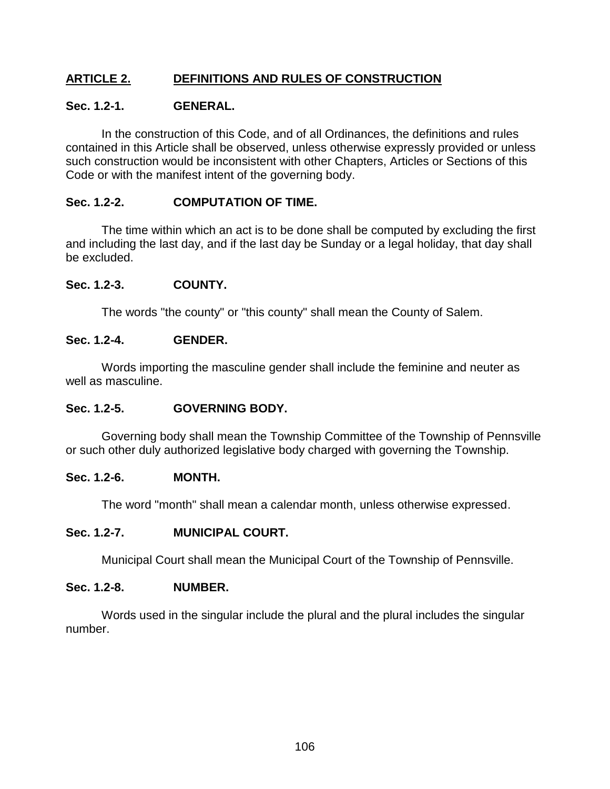## **ARTICLE 2. DEFINITIONS AND RULES OF CONSTRUCTION**

#### **Sec. 1.2-1. GENERAL.**

In the construction of this Code, and of all Ordinances, the definitions and rules contained in this Article shall be observed, unless otherwise expressly provided or unless such construction would be inconsistent with other Chapters, Articles or Sections of this Code or with the manifest intent of the governing body.

#### **Sec. 1.2-2. COMPUTATION OF TIME.**

The time within which an act is to be done shall be computed by excluding the first and including the last day, and if the last day be Sunday or a legal holiday, that day shall be excluded.

#### **Sec. 1.2-3. COUNTY.**

The words "the county" or "this county" shall mean the County of Salem.

#### **Sec. 1.2-4. GENDER.**

Words importing the masculine gender shall include the feminine and neuter as well as masculine.

#### **Sec. 1.2-5. GOVERNING BODY.**

Governing body shall mean the Township Committee of the Township of Pennsville or such other duly authorized legislative body charged with governing the Township.

#### **Sec. 1.2-6. MONTH.**

The word "month" shall mean a calendar month, unless otherwise expressed.

#### **Sec. 1.2-7. MUNICIPAL COURT.**

Municipal Court shall mean the Municipal Court of the Township of Pennsville.

#### **Sec. 1.2-8. NUMBER.**

Words used in the singular include the plural and the plural includes the singular number.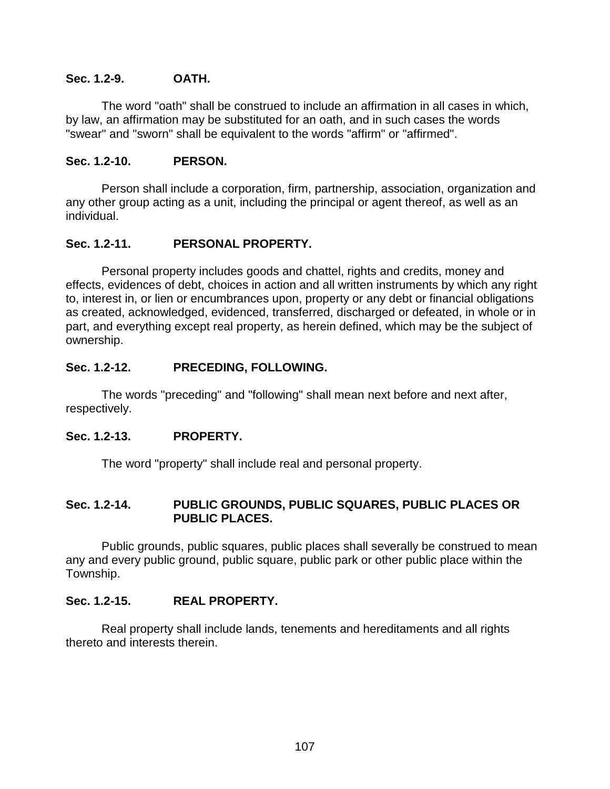#### **Sec. 1.2-9. OATH.**

The word "oath" shall be construed to include an affirmation in all cases in which, by law, an affirmation may be substituted for an oath, and in such cases the words "swear" and "sworn" shall be equivalent to the words "affirm" or "affirmed".

#### **Sec. 1.2-10. PERSON.**

Person shall include a corporation, firm, partnership, association, organization and any other group acting as a unit, including the principal or agent thereof, as well as an individual.

## **Sec. 1.2-11. PERSONAL PROPERTY.**

Personal property includes goods and chattel, rights and credits, money and effects, evidences of debt, choices in action and all written instruments by which any right to, interest in, or lien or encumbrances upon, property or any debt or financial obligations as created, acknowledged, evidenced, transferred, discharged or defeated, in whole or in part, and everything except real property, as herein defined, which may be the subject of ownership.

## **Sec. 1.2-12. PRECEDING, FOLLOWING.**

The words "preceding" and "following" shall mean next before and next after, respectively.

## **Sec. 1.2-13. PROPERTY.**

The word "property" shall include real and personal property.

#### **Sec. 1.2-14. PUBLIC GROUNDS, PUBLIC SQUARES, PUBLIC PLACES OR PUBLIC PLACES.**

Public grounds, public squares, public places shall severally be construed to mean any and every public ground, public square, public park or other public place within the Township.

## **Sec. 1.2-15. REAL PROPERTY.**

Real property shall include lands, tenements and hereditaments and all rights thereto and interests therein.